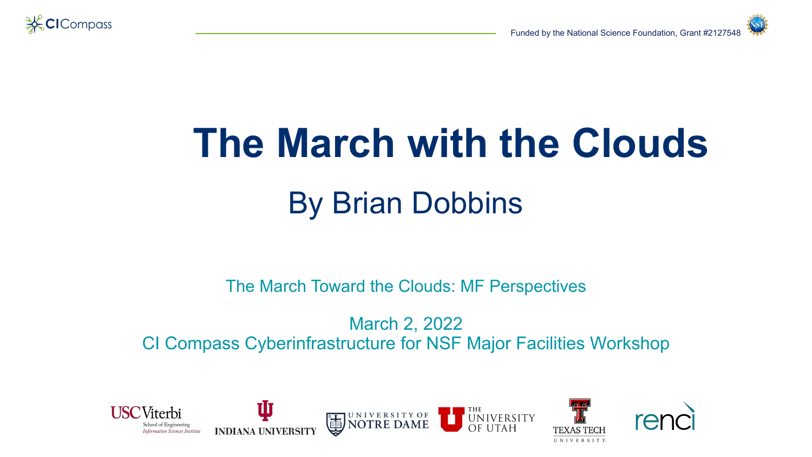

# **The March with the Clouds** By Brian Dobbins

The March Toward the Clouds: MF Perspectives

March 2, 2022 CI Compass Cyberinfrastructure for NSF Major Facilities Workshop

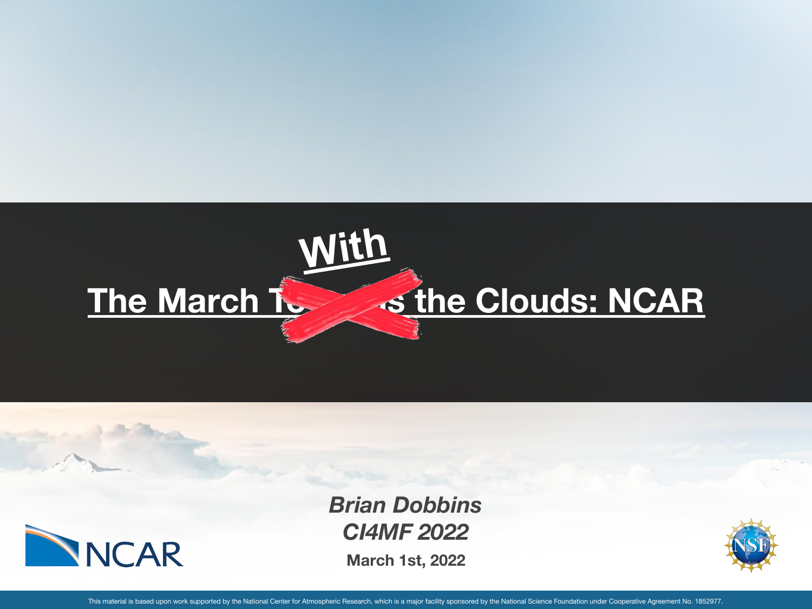



**March 1st, 2022** *Brian Dobbins CI4MF 2022*



This material is based upon work supported by the National Center for Atmospheric Research, which is a major facility sponsored by the National Science Foundation under Cooperative Agreement No. 1852977.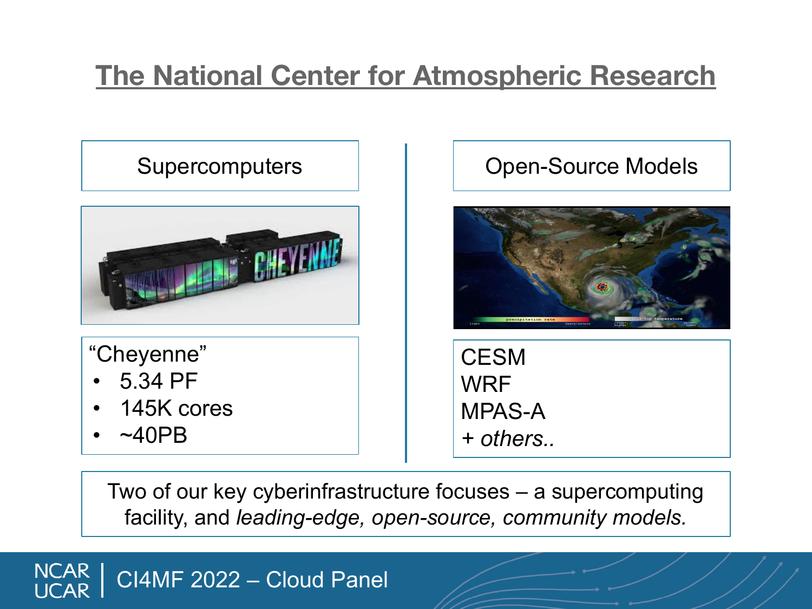## **The National Center for Atmospheric Research**



"Cheyenne"

- 5.34 PF
- 145K cores
- $~\sim$ 40PB

#### Supercomputers | | | | Open-Source Models



**CESM WRF** MPAS-A *+ others..*

Two of our key cyberinfrastructure focuses – a supercomputing facility, and *leading-edge, open-source, community models.*

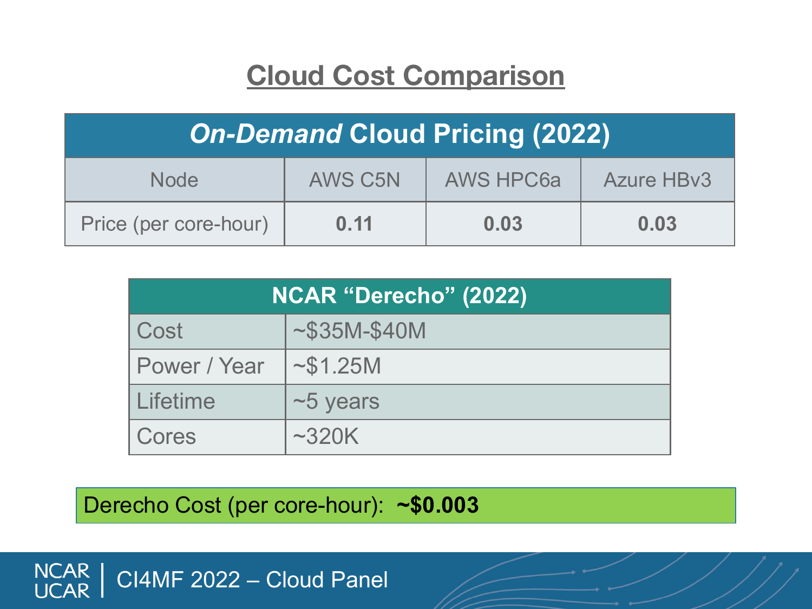#### **Cloud Cost Comparison**

| <b>On-Demand Cloud Pricing (2022)</b> |                |                  |                   |
|---------------------------------------|----------------|------------------|-------------------|
| <b>Node</b>                           | <b>AWS C5N</b> | <b>AWS HPC6a</b> | <b>Azure HBv3</b> |
| Price (per core-hour)                 | 0.11           | 0.03             | 0.03              |

| NCAR "Derecho" (2022) |              |  |
|-----------------------|--------------|--|
| Cost                  | $~535M-S40M$ |  |
| Power / Year          | ~51.25M      |  |
| Lifetime              | $~5$ years   |  |
| Cores                 | ~2320K       |  |

Derecho Cost (per core-hour): **~\$0.003**

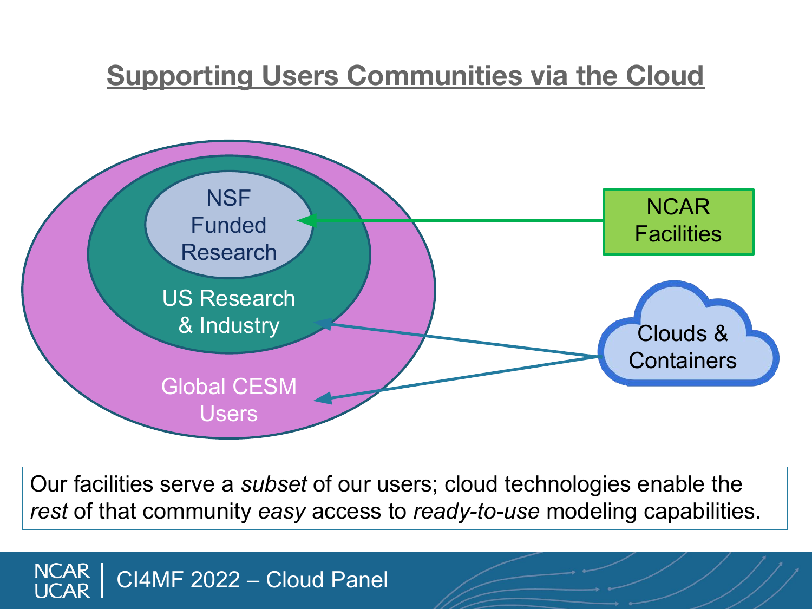#### **Supporting Users Communities via the Cloud**



Our facilities serve a *subset* of our users; cloud technologies enable the *rest* of that community *easy* access to *ready-to-use* modeling capabilities.

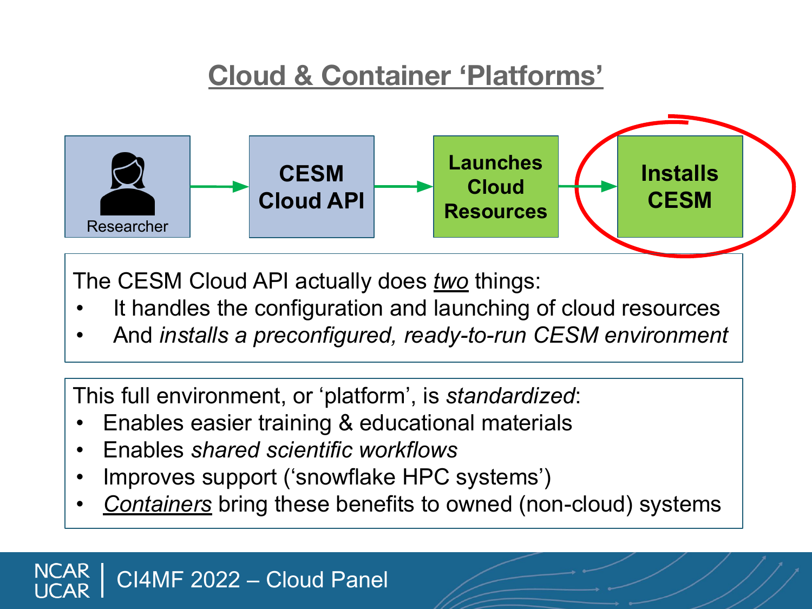### **Cloud & Container 'Platforms'**



The CESM Cloud API actually does *two* things:

- It handles the configuration and launching of cloud resources
- And *installs a preconfigured, ready-to-run CESM environment*

This full environment, or 'platform', is *standardized*:

- Enables easier training & educational materials
- Enables *shared scientific workflows*
- Improves support ('snowflake HPC systems')
- *• Containers* bring these benefits to owned (non-cloud) systems